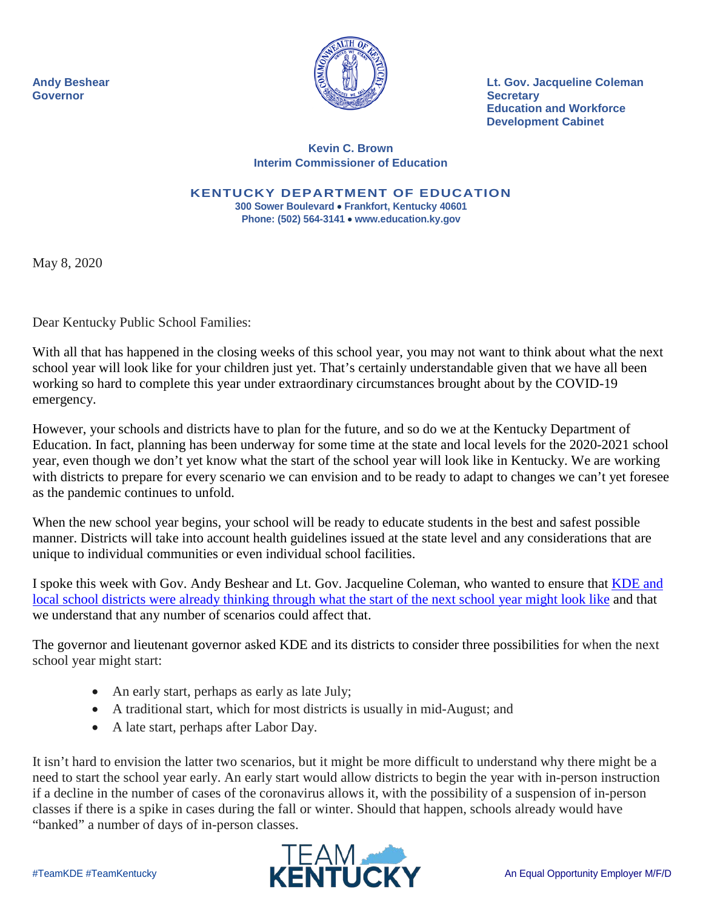

**Andy Beshear Lt. Gov. Jacqueline Coleman Education and Workforce Development Cabinet**

## **Kevin C. Brown Interim Commissioner of Education**

**KENTUCKY DEPARTMENT OF EDUCATION 300 Sower Boulevard** • **Frankfort, Kentucky 40601 Phone: (502) 564-3141** • **www.education.ky.gov**

May 8, 2020

Dear Kentucky Public School Families:

With all that has happened in the closing weeks of this school year, you may not want to think about what the next school year will look like for your children just yet. That's certainly understandable given that we have all been working so hard to complete this year under extraordinary circumstances brought about by the COVID-19 emergency.

However, your schools and districts have to plan for the future, and so do we at the Kentucky Department of Education. In fact, planning has been underway for some time at the state and local levels for the 2020-2021 school year, even though we don't yet know what the start of the school year will look like in Kentucky. We are working with districts to prepare for every scenario we can envision and to be ready to adapt to changes we can't yet foresee as the pandemic continues to unfold.

When the new school year begins, your school will be ready to educate students in the best and safest possible manner. Districts will take into account health guidelines issued at the state level and any considerations that are unique to individual communities or even individual school facilities.

I spoke this week with Gov. Andy Beshear and Lt. Gov. Jacqueline Coleman, who wanted to ensure that [KDE and](https://www.kentuckyteacher.org/news/2020/05/kde-asks-districts-to-be-flexible-when-planning-for-start-of-2020-2021-school-year/)  [local school districts were already thinking through what the start of the next school year might look like](https://www.kentuckyteacher.org/news/2020/05/kde-asks-districts-to-be-flexible-when-planning-for-start-of-2020-2021-school-year/) and that we understand that any number of scenarios could affect that.

The governor and lieutenant governor asked KDE and its districts to consider three possibilities for when the next school year might start:

- An early start, perhaps as early as late July;
- A traditional start, which for most districts is usually in mid-August; and
- A late start, perhaps after Labor Day.

It isn't hard to envision the latter two scenarios, but it might be more difficult to understand why there might be a need to start the school year early. An early start would allow districts to begin the year with in-person instruction if a decline in the number of cases of the coronavirus allows it, with the possibility of a suspension of in-person classes if there is a spike in cases during the fall or winter. Should that happen, schools already would have "banked" a number of days of in-person classes.

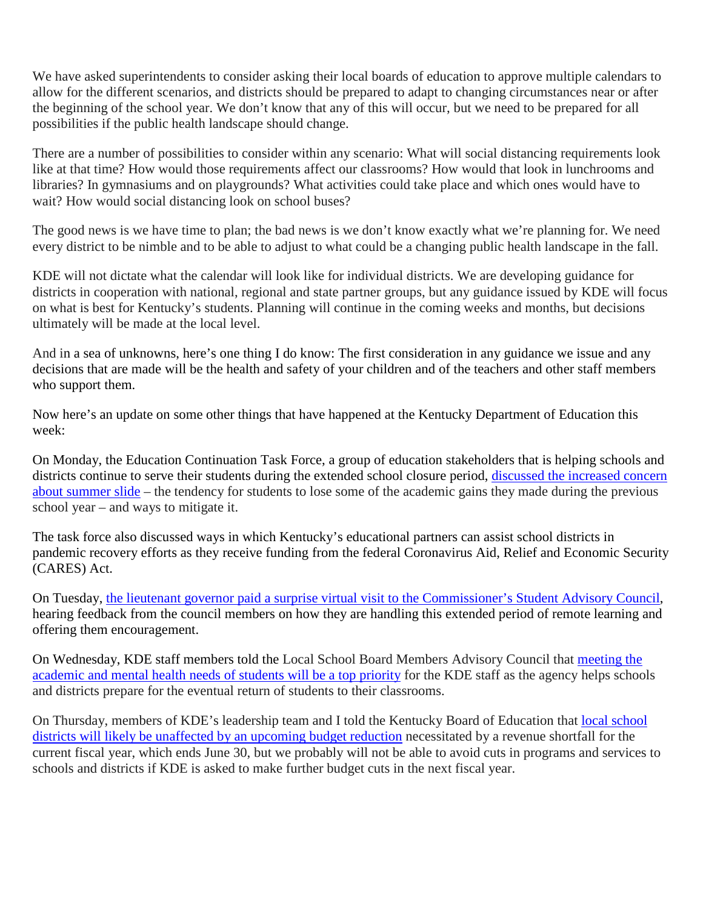We have asked superintendents to consider asking their local boards of education to approve multiple calendars to allow for the different scenarios, and districts should be prepared to adapt to changing circumstances near or after the beginning of the school year. We don't know that any of this will occur, but we need to be prepared for all possibilities if the public health landscape should change.

There are a number of possibilities to consider within any scenario: What will social distancing requirements look like at that time? How would those requirements affect our classrooms? How would that look in lunchrooms and libraries? In gymnasiums and on playgrounds? What activities could take place and which ones would have to wait? How would social distancing look on school buses?

The good news is we have time to plan; the bad news is we don't know exactly what we're planning for. We need every district to be nimble and to be able to adjust to what could be a changing public health landscape in the fall.

KDE will not dictate what the calendar will look like for individual districts. We are developing guidance for districts in cooperation with national, regional and state partner groups, but any guidance issued by KDE will focus on what is best for Kentucky's students. Planning will continue in the coming weeks and months, but decisions ultimately will be made at the local level.

And in a sea of unknowns, here's one thing I do know: The first consideration in any guidance we issue and any decisions that are made will be the health and safety of your children and of the teachers and other staff members who support them.

Now here's an update on some other things that have happened at the Kentucky Department of Education this week:

On Monday, the Education Continuation Task Force, a group of education stakeholders that is helping schools and districts continue to serve their students during the extended school closure period, discussed the increased concern [about summer slide](https://www.kentuckyteacher.org/news/2020/05/cares-act-funding-student-re-entry-for-next-school-year-discussed-by-task-force/) – the tendency for students to lose some of the academic gains they made during the previous school year – and ways to mitigate it.

The task force also discussed ways in which Kentucky's educational partners can assist school districts in pandemic recovery efforts as they receive funding from the federal Coronavirus Aid, Relief and Economic Security (CARES) Act.

On Tuesday, [the lieutenant governor paid a surprise virtual visit to the Commissioner's Student Advisory Council,](https://www.kentuckyteacher.org/news/2020/05/lt-gov-jacqueline-coleman-offers-words-of-encouragement-to-kde-student-advisory-council/) hearing feedback from the council members on how they are handling this extended period of remote learning and offering them encouragement.

On Wednesday, KDE staff members told the Local School Board Members Advisory Council that [meeting the](http://www.kentuckyteacher.org/news/2020/05/kde-will-prioritize-students-academic-mental-health-needs-when-schools-reopen/)  [academic and mental health needs of students will be a top priority](http://www.kentuckyteacher.org/news/2020/05/kde-will-prioritize-students-academic-mental-health-needs-when-schools-reopen/) for the KDE staff as the agency helps schools and districts prepare for the eventual return of students to their classrooms.

On Thursday, members of KDE's leadership team and I told the Kentucky Board of Education that local school [districts will likely be unaffected by an upcoming budget reduction](https://www.kentuckyteacher.org/news/2020/05/upcoming-budget-reduction-unlikely-to-affect-school-districts-but-future-reductions-could/) necessitated by a revenue shortfall for the current fiscal year, which ends June 30, but we probably will not be able to avoid cuts in programs and services to schools and districts if KDE is asked to make further budget cuts in the next fiscal year.